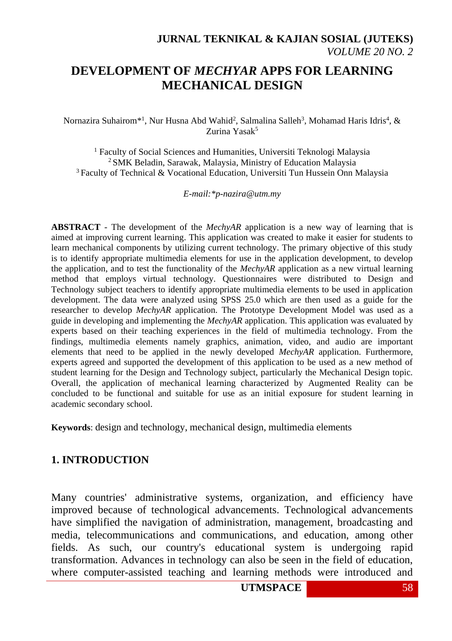# **DEVELOPMENT OF** *MECHYAR* **APPS FOR LEARNING MECHANICAL DESIGN**

Nornazira Suhairom<sup>\*1</sup>, Nur Husna Abd Wahid<sup>2</sup>, Salmalina Salleh<sup>3</sup>, Mohamad Haris Idris<sup>4</sup>, & Zurina Yasak<sup>5</sup>

<sup>1</sup> Faculty of Social Sciences and Humanities, Universiti Teknologi Malaysia <sup>2</sup> SMK Beladin, Sarawak, Malaysia, Ministry of Education Malaysia <sup>3</sup> Faculty of Technical & Vocational Education, Universiti Tun Hussein Onn Malaysia

*E-mail:\*p-nazira@utm.my*

**ABSTRACT** - The development of the *MechyAR* application is a new way of learning that is aimed at improving current learning. This application was created to make it easier for students to learn mechanical components by utilizing current technology. The primary objective of this study is to identify appropriate multimedia elements for use in the application development, to develop the application, and to test the functionality of the *MechyAR* application as a new virtual learning method that employs virtual technology. Questionnaires were distributed to Design and Technology subject teachers to identify appropriate multimedia elements to be used in application development. The data were analyzed using SPSS 25.0 which are then used as a guide for the researcher to develop *MechyAR* application. The Prototype Development Model was used as a guide in developing and implementing the *MechyAR* application. This application was evaluated by experts based on their teaching experiences in the field of multimedia technology. From the findings, multimedia elements namely graphics, animation, video, and audio are important elements that need to be applied in the newly developed *MechyAR* application. Furthermore, experts agreed and supported the development of this application to be used as a new method of student learning for the Design and Technology subject, particularly the Mechanical Design topic. Overall, the application of mechanical learning characterized by Augmented Reality can be concluded to be functional and suitable for use as an initial exposure for student learning in academic secondary school.

**Keywords**: design and technology, mechanical design, multimedia elements

#### **1. INTRODUCTION**

Many countries' administrative systems, organization, and efficiency have improved because of technological advancements. Technological advancements have simplified the navigation of administration, management, broadcasting and media, telecommunications and communications, and education, among other fields. As such, our country's educational system is undergoing rapid transformation. Advances in technology can also be seen in the field of education, where computer-assisted teaching and learning methods were introduced and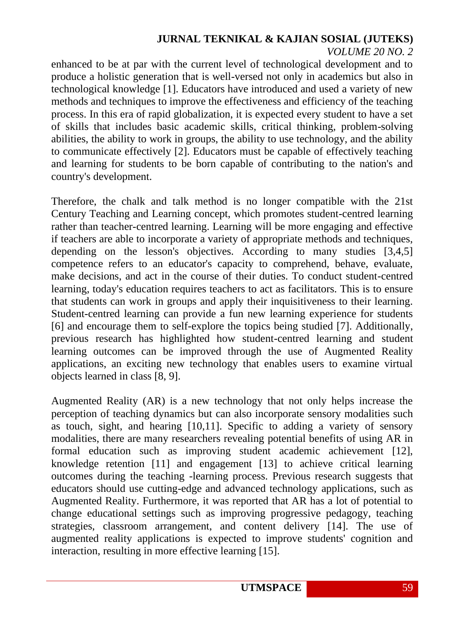#### *VOLUME 20 NO. 2*

enhanced to be at par with the current level of technological development and to produce a holistic generation that is well-versed not only in academics but also in technological knowledge [1]. Educators have introduced and used a variety of new methods and techniques to improve the effectiveness and efficiency of the teaching process. In this era of rapid globalization, it is expected every student to have a set of skills that includes basic academic skills, critical thinking, problem-solving abilities, the ability to work in groups, the ability to use technology, and the ability to communicate effectively [2]. Educators must be capable of effectively teaching and learning for students to be born capable of contributing to the nation's and country's development.

Therefore, the chalk and talk method is no longer compatible with the 21st Century Teaching and Learning concept, which promotes student-centred learning rather than teacher-centred learning. Learning will be more engaging and effective if teachers are able to incorporate a variety of appropriate methods and techniques, depending on the lesson's objectives. According to many studies [3,4,5] competence refers to an educator's capacity to comprehend, behave, evaluate, make decisions, and act in the course of their duties. To conduct student-centred learning, today's education requires teachers to act as facilitators. This is to ensure that students can work in groups and apply their inquisitiveness to their learning. Student-centred learning can provide a fun new learning experience for students [6] and encourage them to self-explore the topics being studied [7]. Additionally, previous research has highlighted how student-centred learning and student learning outcomes can be improved through the use of Augmented Reality applications, an exciting new technology that enables users to examine virtual objects learned in class [8, 9].

Augmented Reality (AR) is a new technology that not only helps increase the perception of teaching dynamics but can also incorporate sensory modalities such as touch, sight, and hearing [10,11]. Specific to adding a variety of sensory modalities, there are many researchers revealing potential benefits of using AR in formal education such as improving student academic achievement [12], knowledge retention [11] and engagement [13] to achieve critical learning outcomes during the teaching -learning process. Previous research suggests that educators should use cutting-edge and advanced technology applications, such as Augmented Reality. Furthermore, it was reported that AR has a lot of potential to change educational settings such as improving progressive pedagogy, teaching strategies, classroom arrangement, and content delivery [14]. The use of augmented reality applications is expected to improve students' cognition and interaction, resulting in more effective learning [15].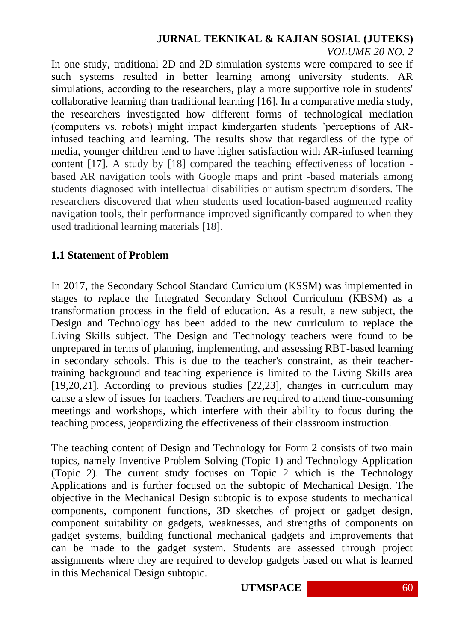### *VOLUME 20 NO. 2*

In one study, traditional 2D and 2D simulation systems were compared to see if such systems resulted in better learning among university students. AR simulations, according to the researchers, play a more supportive role in students' collaborative learning than traditional learning [16]. In a comparative media study, the researchers investigated how different forms of technological mediation (computers vs. robots) might impact kindergarten students 'perceptions of ARinfused teaching and learning. The results show that regardless of the type of media, younger children tend to have higher satisfaction with AR-infused learning content [17]. A study by [18] compared the teaching effectiveness of location based AR navigation tools with Google maps and print -based materials among students diagnosed with intellectual disabilities or autism spectrum disorders. The researchers discovered that when students used location-based augmented reality navigation tools, their performance improved significantly compared to when they used traditional learning materials [18].

# **1.1 Statement of Problem**

In 2017, the Secondary School Standard Curriculum (KSSM) was implemented in stages to replace the Integrated Secondary School Curriculum (KBSM) as a transformation process in the field of education. As a result, a new subject, the Design and Technology has been added to the new curriculum to replace the Living Skills subject. The Design and Technology teachers were found to be unprepared in terms of planning, implementing, and assessing RBT-based learning in secondary schools. This is due to the teacher's constraint, as their teachertraining background and teaching experience is limited to the Living Skills area [19,20,21]. According to previous studies [22,23], changes in curriculum may cause a slew of issues for teachers. Teachers are required to attend time-consuming meetings and workshops, which interfere with their ability to focus during the teaching process, jeopardizing the effectiveness of their classroom instruction.

The teaching content of Design and Technology for Form 2 consists of two main topics, namely Inventive Problem Solving (Topic 1) and Technology Application (Topic 2). The current study focuses on Topic 2 which is the Technology Applications and is further focused on the subtopic of Mechanical Design. The objective in the Mechanical Design subtopic is to expose students to mechanical components, component functions, 3D sketches of project or gadget design, component suitability on gadgets, weaknesses, and strengths of components on gadget systems, building functional mechanical gadgets and improvements that can be made to the gadget system. Students are assessed through project assignments where they are required to develop gadgets based on what is learned in this Mechanical Design subtopic.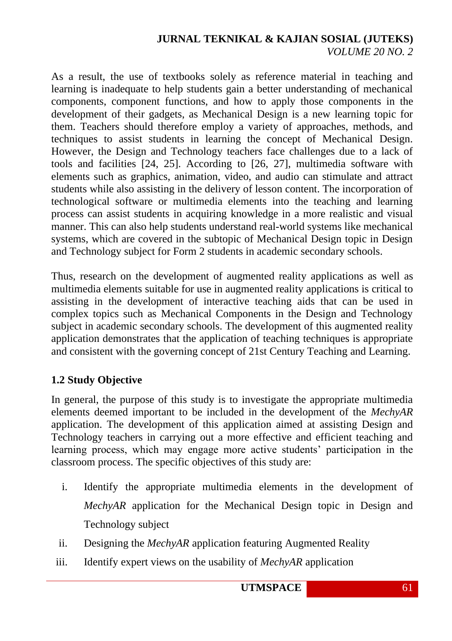As a result, the use of textbooks solely as reference material in teaching and learning is inadequate to help students gain a better understanding of mechanical components, component functions, and how to apply those components in the development of their gadgets, as Mechanical Design is a new learning topic for them. Teachers should therefore employ a variety of approaches, methods, and techniques to assist students in learning the concept of Mechanical Design. However, the Design and Technology teachers face challenges due to a lack of tools and facilities [24, 25]. According to [26, 27], multimedia software with elements such as graphics, animation, video, and audio can stimulate and attract students while also assisting in the delivery of lesson content. The incorporation of technological software or multimedia elements into the teaching and learning process can assist students in acquiring knowledge in a more realistic and visual manner. This can also help students understand real-world systems like mechanical systems, which are covered in the subtopic of Mechanical Design topic in Design and Technology subject for Form 2 students in academic secondary schools.

Thus, research on the development of augmented reality applications as well as multimedia elements suitable for use in augmented reality applications is critical to assisting in the development of interactive teaching aids that can be used in complex topics such as Mechanical Components in the Design and Technology subject in academic secondary schools. The development of this augmented reality application demonstrates that the application of teaching techniques is appropriate and consistent with the governing concept of 21st Century Teaching and Learning.

## **1.2 Study Objective**

In general, the purpose of this study is to investigate the appropriate multimedia elements deemed important to be included in the development of the *MechyAR* application. The development of this application aimed at assisting Design and Technology teachers in carrying out a more effective and efficient teaching and learning process, which may engage more active students' participation in the classroom process. The specific objectives of this study are:

- i. Identify the appropriate multimedia elements in the development of *MechyAR* application for the Mechanical Design topic in Design and Technology subject
- ii. Designing the *MechyAR* application featuring Augmented Reality
- iii. Identify expert views on the usability of *MechyAR* application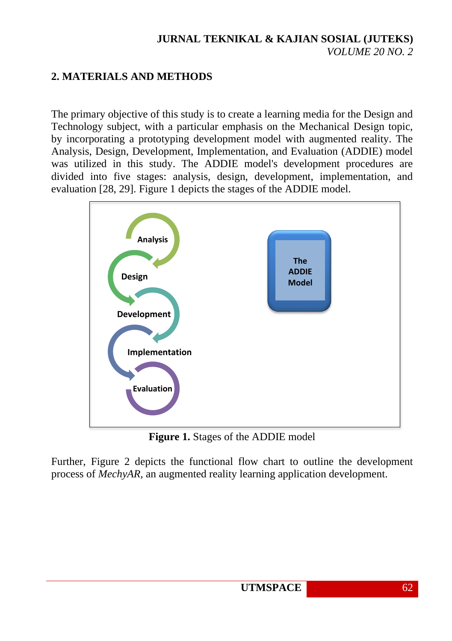# **2. MATERIALS AND METHODS**

The primary objective of this study is to create a learning media for the Design and Technology subject, with a particular emphasis on the Mechanical Design topic, by incorporating a prototyping development model with augmented reality. The Analysis, Design, Development, Implementation, and Evaluation (ADDIE) model was utilized in this study. The ADDIE model's development procedures are divided into five stages: analysis, design, development, implementation, and evaluation [28, 29]. Figure 1 depicts the stages of the ADDIE model.



**Figure 1.** Stages of the ADDIE model

Further, Figure 2 depicts the functional flow chart to outline the development process of *MechyAR,* an augmented reality learning application development.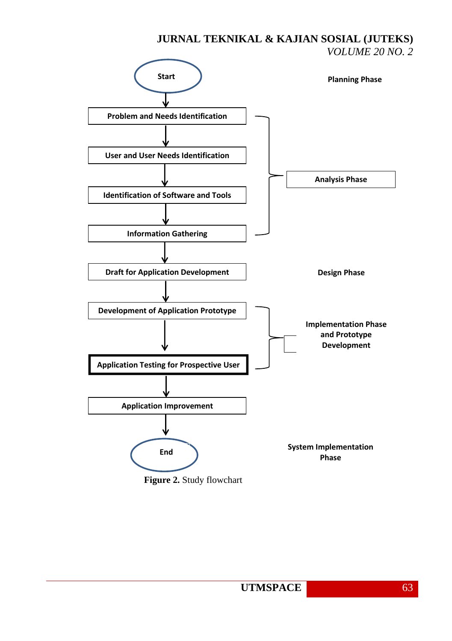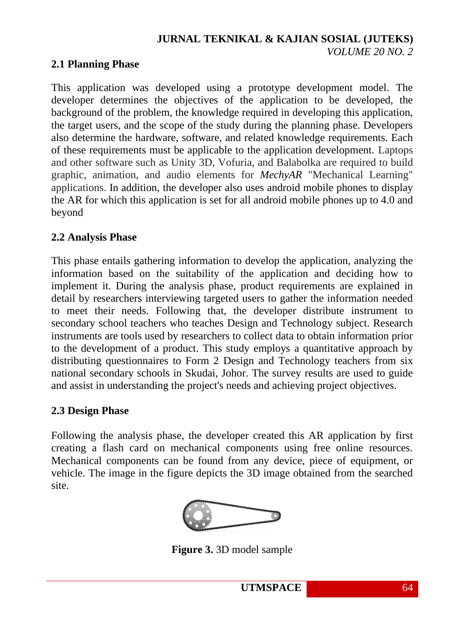## **2.1 Planning Phase**

This application was developed using a prototype development model. The developer determines the objectives of the application to be developed, the background of the problem, the knowledge required in developing this application, the target users, and the scope of the study during the planning phase. Developers also determine the hardware, software, and related knowledge requirements. Each of these requirements must be applicable to the application development. Laptops and other software such as Unity 3D, Vofuria, and Balabolka are required to build graphic, animation, and audio elements for *MechyAR* "Mechanical Learning" applications. In addition, the developer also uses android mobile phones to display the AR for which this application is set for all android mobile phones up to 4.0 and beyond

## **2.2 Analysis Phase**

This phase entails gathering information to develop the application, analyzing the information based on the suitability of the application and deciding how to implement it. During the analysis phase, product requirements are explained in detail by researchers interviewing targeted users to gather the information needed to meet their needs. Following that, the developer distribute instrument to secondary school teachers who teaches Design and Technology subject. Research instruments are tools used by researchers to collect data to obtain information prior to the development of a product. This study employs a quantitative approach by distributing questionnaires to Form 2 Design and Technology teachers from six national secondary schools in Skudai, Johor. The survey results are used to guide and assist in understanding the project's needs and achieving project objectives.

## **2.3 Design Phase**

Following the analysis phase, the developer created this AR application by first creating a flash card on mechanical components using free online resources. Mechanical components can be found from any device, piece of equipment, or vehicle. The image in the figure depicts the 3D image obtained from the searched site.



**Figure 3.** 3D model sample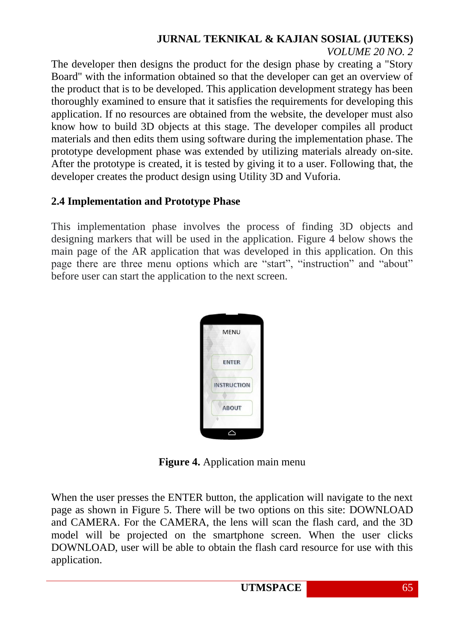*VOLUME 20 NO. 2*

The developer then designs the product for the design phase by creating a "Story Board" with the information obtained so that the developer can get an overview of the product that is to be developed. This application development strategy has been thoroughly examined to ensure that it satisfies the requirements for developing this application. If no resources are obtained from the website, the developer must also know how to build 3D objects at this stage. The developer compiles all product materials and then edits them using software during the implementation phase. The prototype development phase was extended by utilizing materials already on-site. After the prototype is created, it is tested by giving it to a user. Following that, the developer creates the product design using Utility 3D and Vuforia.

# **2.4 Implementation and Prototype Phase**

This implementation phase involves the process of finding 3D objects and designing markers that will be used in the application. Figure 4 below shows the main page of the AR application that was developed in this application. On this page there are three menu options which are "start", "instruction" and "about" before user can start the application to the next screen.



**Figure 4.** Application main menu

When the user presses the ENTER button, the application will navigate to the next page as shown in Figure 5. There will be two options on this site: DOWNLOAD and CAMERA. For the CAMERA, the lens will scan the flash card, and the 3D model will be projected on the smartphone screen. When the user clicks DOWNLOAD, user will be able to obtain the flash card resource for use with this application.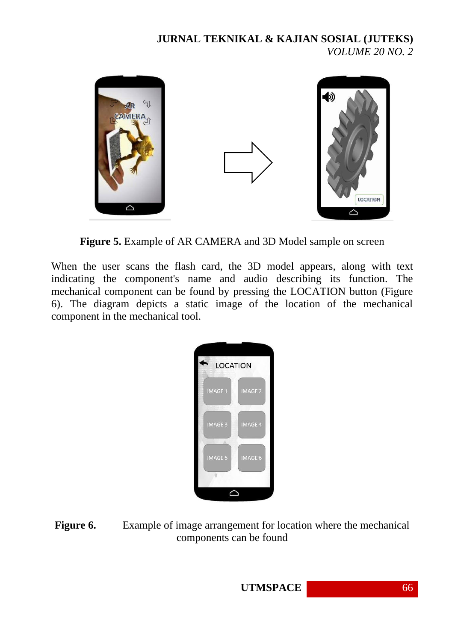

**Figure 5.** Example of AR CAMERA and 3D Model sample on screen

When the user scans the flash card, the 3D model appears, along with text indicating the component's name and audio describing its function. The mechanical component can be found by pressing the LOCATION button (Figure 6). The diagram depicts a static image of the location of the mechanical component in the mechanical tool.



Figure 6. Example of image arrangement for location where the mechanical components can be found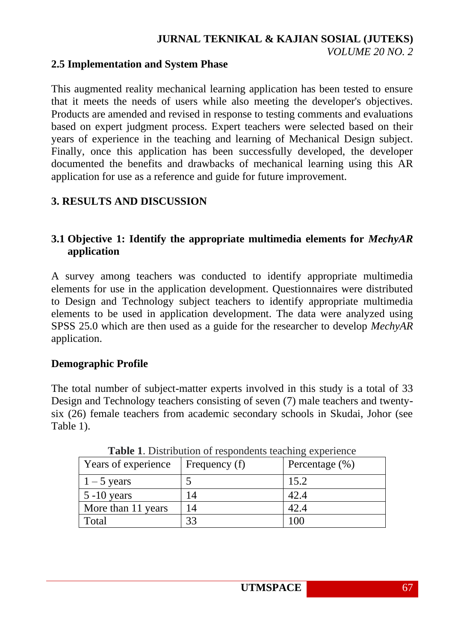# **2.5 Implementation and System Phase**

This augmented reality mechanical learning application has been tested to ensure that it meets the needs of users while also meeting the developer's objectives. Products are amended and revised in response to testing comments and evaluations based on expert judgment process. Expert teachers were selected based on their years of experience in the teaching and learning of Mechanical Design subject. Finally, once this application has been successfully developed, the developer documented the benefits and drawbacks of mechanical learning using this AR application for use as a reference and guide for future improvement.

# **3. RESULTS AND DISCUSSION**

# **3.1 Objective 1: Identify the appropriate multimedia elements for** *MechyAR*  **application**

A survey among teachers was conducted to identify appropriate multimedia elements for use in the application development. Questionnaires were distributed to Design and Technology subject teachers to identify appropriate multimedia elements to be used in application development. The data were analyzed using SPSS 25.0 which are then used as a guide for the researcher to develop *MechyAR* application.

# **Demographic Profile**

The total number of subject-matter experts involved in this study is a total of 33 Design and Technology teachers consisting of seven (7) male teachers and twentysix (26) female teachers from academic secondary schools in Skudai, Johor (see Table 1).

| Years of experience | Frequency (f) | Percentage $(\% )$ |
|---------------------|---------------|--------------------|
| $1 - 5$ years       |               | 15.2               |
| $5 - 10$ years      | 14            | 42.4               |
| More than 11 years  | 14            | 42.4               |
| Total               | 22            | $\alpha$           |

**Table 1**. Distribution of respondents teaching experience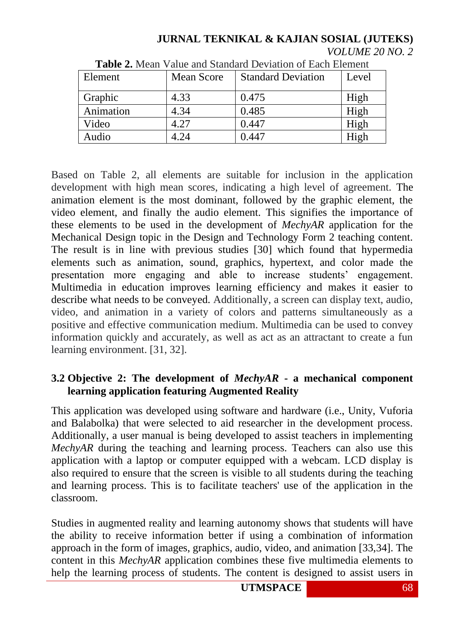| <b>Table 2.</b> Mean Value and Bianuard Deviation of Each Element |            |                           |       |  |  |
|-------------------------------------------------------------------|------------|---------------------------|-------|--|--|
| Element                                                           | Mean Score | <b>Standard Deviation</b> | Level |  |  |
| Graphic                                                           | 4.33       | 0.475                     | High  |  |  |
| Animation                                                         | 4.34       | 0.485                     | High  |  |  |
| Video                                                             | 4.27       | 0.447                     | High  |  |  |
| Audio                                                             | 4.24       | 0.447                     | High  |  |  |

**JURNAL TEKNIKAL & KAJIAN SOSIAL (JUTEKS)**  $\overline{O}$  2

| <b>VOLUME 20 N</b>                                                                                                                                                                                                                                                                                                                                                                                          |
|-------------------------------------------------------------------------------------------------------------------------------------------------------------------------------------------------------------------------------------------------------------------------------------------------------------------------------------------------------------------------------------------------------------|
| $\mathbf{H} \cdot \mathbf{A} \cdot \mathbf{M}$ $\mathbf{V} \cdot \mathbf{I}$ $\mathbf{V} \cdot \mathbf{A}$ $\mathbf{V} \cdot \mathbf{A}$ $\mathbf{V} \cdot \mathbf{A}$ $\mathbf{V} \cdot \mathbf{A}$ $\mathbf{V} \cdot \mathbf{A}$ $\mathbf{V} \cdot \mathbf{A}$ $\mathbf{V} \cdot \mathbf{A}$ $\mathbf{V} \cdot \mathbf{A}$ $\mathbf{V} \cdot \mathbf{A}$ $\mathbf{V} \cdot \mathbf{A}$ $\mathbf{V} \cdot$ |

Based on Table 2, all elements are suitable for inclusion in the application development with high mean scores, indicating a high level of agreement. The animation element is the most dominant, followed by the graphic element, the video element, and finally the audio element. This signifies the importance of these elements to be used in the development of *MechyAR* application for the Mechanical Design topic in the Design and Technology Form 2 teaching content. The result is in line with previous studies [30] which found that hypermedia elements such as animation, sound, graphics, hypertext, and color made the presentation more engaging and able to increase students' engagement. Multimedia in education improves learning efficiency and makes it easier to describe what needs to be conveyed. Additionally, a screen can display text, audio, video, and animation in a variety of colors and patterns simultaneously as a positive and effective communication medium. Multimedia can be used to convey information quickly and accurately, as well as act as an attractant to create a fun learning environment. [31, 32].

# **Table 2.** Mean Value and Standard Deviation of Each Element

### **3.2 Objective 2: The development of** *MechyAR* **- a mechanical component learning application featuring Augmented Reality**

This application was developed using software and hardware (i.e., Unity, Vuforia and Balabolka) that were selected to aid researcher in the development process. Additionally, a user manual is being developed to assist teachers in implementing *MechyAR* during the teaching and learning process. Teachers can also use this application with a laptop or computer equipped with a webcam. LCD display is also required to ensure that the screen is visible to all students during the teaching and learning process. This is to facilitate teachers' use of the application in the classroom.

Studies in augmented reality and learning autonomy shows that students will have the ability to receive information better if using a combination of information approach in the form of images, graphics, audio, video, and animation [33,34]. The content in this *MechyAR* application combines these five multimedia elements to help the learning process of students. The content is designed to assist users in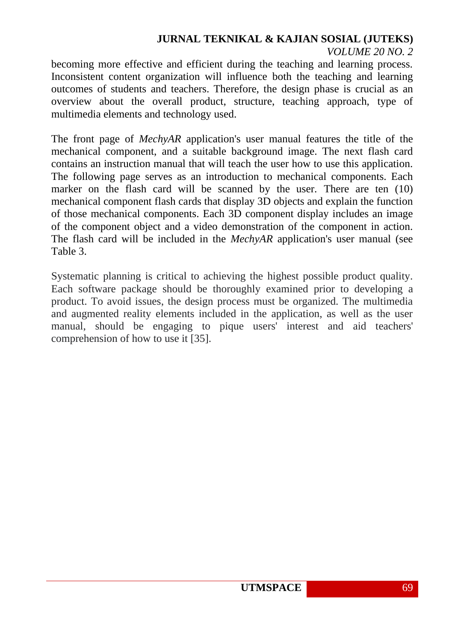becoming more effective and efficient during the teaching and learning process. Inconsistent content organization will influence both the teaching and learning outcomes of students and teachers. Therefore, the design phase is crucial as an overview about the overall product, structure, teaching approach, type of multimedia elements and technology used.

The front page of *MechyAR* application's user manual features the title of the mechanical component, and a suitable background image. The next flash card contains an instruction manual that will teach the user how to use this application. The following page serves as an introduction to mechanical components. Each marker on the flash card will be scanned by the user. There are ten (10) mechanical component flash cards that display 3D objects and explain the function of those mechanical components. Each 3D component display includes an image of the component object and a video demonstration of the component in action. The flash card will be included in the *MechyAR* application's user manual (see Table 3.

Systematic planning is critical to achieving the highest possible product quality. Each software package should be thoroughly examined prior to developing a product. To avoid issues, the design process must be organized. The multimedia and augmented reality elements included in the application, as well as the user manual, should be engaging to pique users' interest and aid teachers' comprehension of how to use it [35].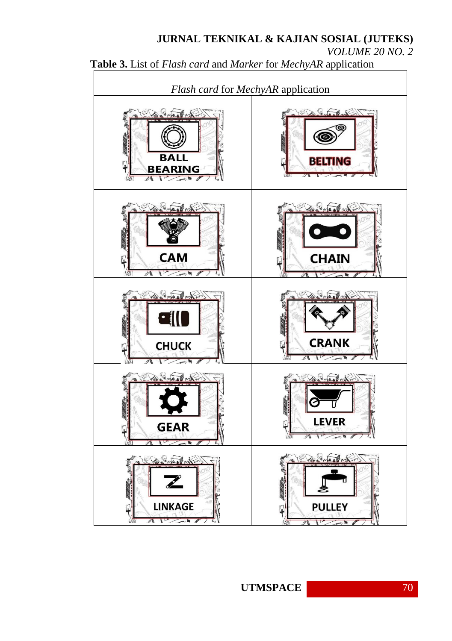*VOLUME 20 NO. 2*



**Table 3.** List of *Flash card* and *Marker* for *MechyAR* application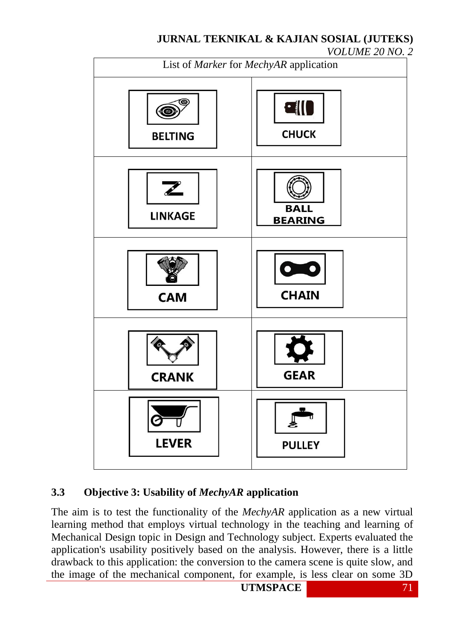*VOLUME 20 NO. 2*



## **3.3 Objective 3: Usability of** *MechyAR* **application**

The aim is to test the functionality of the *MechyAR* application as a new virtual learning method that employs virtual technology in the teaching and learning of Mechanical Design topic in Design and Technology subject. Experts evaluated the application's usability positively based on the analysis. However, there is a little drawback to this application: the conversion to the camera scene is quite slow, and the image of the mechanical component, for example, is less clear on some 3D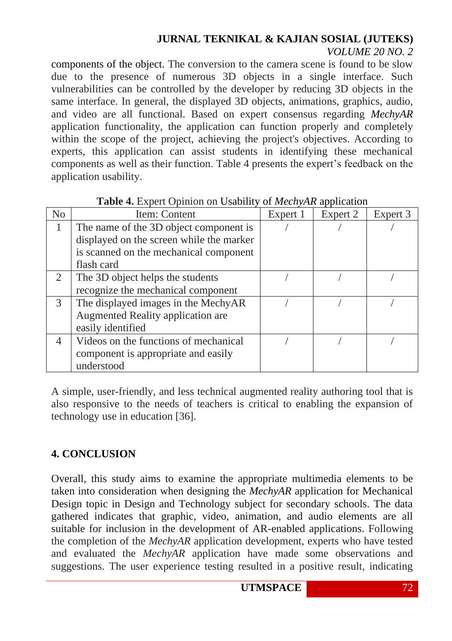#### *VOLUME 20 NO. 2*

components of the object. The conversion to the camera scene is found to be slow due to the presence of numerous 3D objects in a single interface. Such vulnerabilities can be controlled by the developer by reducing 3D objects in the same interface. In general, the displayed 3D objects, animations, graphics, audio, and video are all functional. Based on expert consensus regarding *MechyAR* application functionality, the application can function properly and completely within the scope of the project, achieving the project's objectives. According to experts, this application can assist students in identifying these mechanical components as well as their function. Table 4 presents the expert's feedback on the application usability.

| N <sub>0</sub> | Item: Content                            | Expert 1 | Expert 2 | Expert 3 |
|----------------|------------------------------------------|----------|----------|----------|
| 1              | The name of the 3D object component is   |          |          |          |
|                | displayed on the screen while the marker |          |          |          |
|                | is scanned on the mechanical component   |          |          |          |
|                | flash card                               |          |          |          |
| 2              | The 3D object helps the students         |          |          |          |
|                | recognize the mechanical component       |          |          |          |
| 3              | The displayed images in the MechyAR      |          |          |          |
|                | Augmented Reality application are        |          |          |          |
|                | easily identified                        |          |          |          |
| 4              | Videos on the functions of mechanical    |          |          |          |
|                | component is appropriate and easily      |          |          |          |
|                | understood                               |          |          |          |

**Table 4.** Expert Opinion on Usability of *MechyAR* application

A simple, user-friendly, and less technical augmented reality authoring tool that is also responsive to the needs of teachers is critical to enabling the expansion of technology use in education [36].

# **4. CONCLUSION**

Overall, this study aims to examine the appropriate multimedia elements to be taken into consideration when designing the *MechyAR* application for Mechanical Design topic in Design and Technology subject for secondary schools. The data gathered indicates that graphic, video, animation, and audio elements are all suitable for inclusion in the development of AR-enabled applications. Following the completion of the *MechyAR* application development, experts who have tested and evaluated the *MechyAR* application have made some observations and suggestions. The user experience testing resulted in a positive result, indicating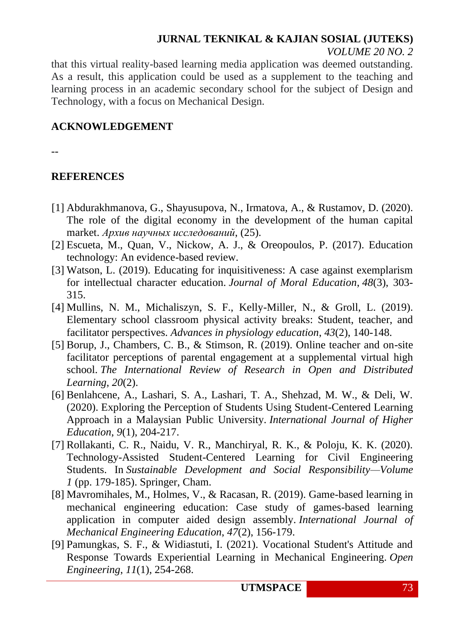that this virtual reality-based learning media application was deemed outstanding. As a result, this application could be used as a supplement to the teaching and learning process in an academic secondary school for the subject of Design and Technology, with a focus on Mechanical Design.

#### **ACKNOWLEDGEMENT**

--

## **REFERENCES**

- [1] Abdurakhmanova, G., Shayusupova, N., Irmatova, A., & Rustamov, D. (2020). The role of the digital economy in the development of the human capital market. *Архив научных исследований*, (25).
- [2] Escueta, M., Quan, V., Nickow, A. J., & Oreopoulos, P. (2017). Education technology: An evidence-based review.
- [3] Watson, L. (2019). Educating for inquisitiveness: A case against exemplarism for intellectual character education. *Journal of Moral Education*, *48*(3), 303- 315.
- [4] Mullins, N. M., Michaliszyn, S. F., Kelly-Miller, N., & Groll, L. (2019). Elementary school classroom physical activity breaks: Student, teacher, and facilitator perspectives. *Advances in physiology education*, *43*(2), 140-148.
- [5] Borup, J., Chambers, C. B., & Stimson, R. (2019). Online teacher and on-site facilitator perceptions of parental engagement at a supplemental virtual high school. *The International Review of Research in Open and Distributed Learning*, *20*(2).
- [6] Benlahcene, A., Lashari, S. A., Lashari, T. A., Shehzad, M. W., & Deli, W. (2020). Exploring the Perception of Students Using Student-Centered Learning Approach in a Malaysian Public University. *International Journal of Higher Education*, *9*(1), 204-217.
- [7] Rollakanti, C. R., Naidu, V. R., Manchiryal, R. K., & Poloju, K. K. (2020). Technology-Assisted Student-Centered Learning for Civil Engineering Students. In *Sustainable Development and Social Responsibility—Volume 1* (pp. 179-185). Springer, Cham.
- [8] Mavromihales, M., Holmes, V., & Racasan, R. (2019). Game-based learning in mechanical engineering education: Case study of games-based learning application in computer aided design assembly. *International Journal of Mechanical Engineering Education*, *47*(2), 156-179.
- [9] Pamungkas, S. F., & Widiastuti, I. (2021). Vocational Student's Attitude and Response Towards Experiential Learning in Mechanical Engineering. *Open Engineering*, *11*(1), 254-268.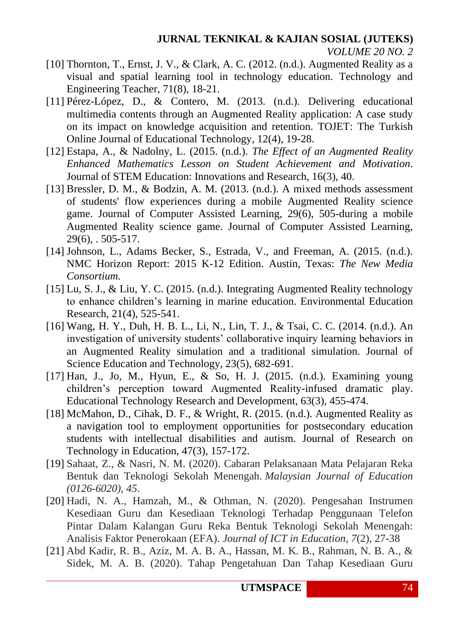- [10] Thornton, T., Ernst, J. V., & Clark, A. C. (2012. (n.d.). Augmented Reality as a visual and spatial learning tool in technology education. Technology and Engineering Teacher, 71(8), 18-21.
- [11] Pérez-López, D., & Contero, M. (2013. (n.d.). Delivering educational multimedia contents through an Augmented Reality application: A case study on its impact on knowledge acquisition and retention. TOJET: The Turkish Online Journal of Educational Technology, 12(4), 19-28.
- [12] Estapa, A., & Nadolny, L. (2015. (n.d.). *The Effect of an Augmented Reality Enhanced Mathematics Lesson on Student Achievement and Motivation*. Journal of STEM Education: Innovations and Research, 16(3), 40.
- [13] Bressler, D. M., & Bodzin, A. M. (2013. (n.d.). A mixed methods assessment of students' flow experiences during a mobile Augmented Reality science game. Journal of Computer Assisted Learning, 29(6), 505-during a mobile Augmented Reality science game. Journal of Computer Assisted Learning, 29(6), . 505-517.
- [14] Johnson, L., Adams Becker, S., Estrada, V., and Freeman, A. (2015. (n.d.). NMC Horizon Report: 2015 K-12 Edition. Austin, Texas: *The New Media Consortium.*
- [15] Lu, S. J., & Liu, Y. C. (2015. (n.d.). Integrating Augmented Reality technology to enhance children's learning in marine education. Environmental Education Research, 21(4), 525-541.
- [16] Wang, H. Y., Duh, H. B. L., Li, N., Lin, T. J., & Tsai, C. C. (2014. (n.d.). An investigation of university students' collaborative inquiry learning behaviors in an Augmented Reality simulation and a traditional simulation. Journal of Science Education and Technology, 23(5), 682-691.
- [17] Han, J., Jo, M., Hyun, E., & So, H. J. (2015. (n.d.). Examining young children's perception toward Augmented Reality-infused dramatic play. Educational Technology Research and Development, 63(3), 455-474.
- [18] McMahon, D., Cihak, D. F., & Wright, R. (2015. (n.d.). Augmented Reality as a navigation tool to employment opportunities for postsecondary education students with intellectual disabilities and autism. Journal of Research on Technology in Education, 47(3), 157-172.
- [19] Sahaat, Z., & Nasri, N. M. (2020). Cabaran Pelaksanaan Mata Pelajaran Reka Bentuk dan Teknologi Sekolah Menengah. *Malaysian Journal of Education (0126-6020)*, *45*.
- [20] Hadi, N. A., Hamzah, M., & Othman, N. (2020). Pengesahan Instrumen Kesediaan Guru dan Kesediaan Teknologi Terhadap Penggunaan Telefon Pintar Dalam Kalangan Guru Reka Bentuk Teknologi Sekolah Menengah: Analisis Faktor Penerokaan (EFA). *Journal of ICT in Education*, *7*(2), 27-38
- [21] Abd Kadir, R. B., Aziz, M. A. B. A., Hassan, M. K. B., Rahman, N. B. A., & Sidek, M. A. B. (2020). Tahap Pengetahuan Dan Tahap Kesediaan Guru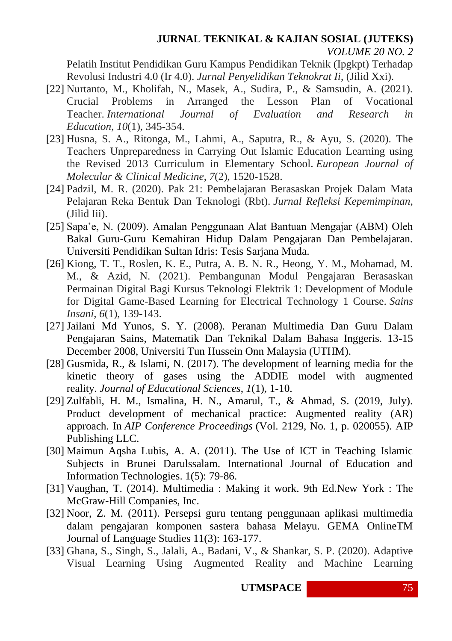Pelatih Institut Pendidikan Guru Kampus Pendidikan Teknik (Ipgkpt) Terhadap Revolusi Industri 4.0 (Ir 4.0). *Jurnal Penyelidikan Teknokrat Ii*, (Jilid Xxi).

- [22] Nurtanto, M., Kholifah, N., Masek, A., Sudira, P., & Samsudin, A. (2021). Crucial Problems in Arranged the Lesson Plan of Vocational Teacher. *International Journal of Evaluation and Research in Education*, *10*(1), 345-354.
- [23] Husna, S. A., Ritonga, M., Lahmi, A., Saputra, R., & Ayu, S. (2020). The Teachers Unpreparedness in Carrying Out Islamic Education Learning using the Revised 2013 Curriculum in Elementary School. *European Journal of Molecular & Clinical Medicine*, *7*(2), 1520-1528.
- [24] Padzil, M. R. (2020). Pak 21: Pembelajaran Berasaskan Projek Dalam Mata Pelajaran Reka Bentuk Dan Teknologi (Rbt). *Jurnal Refleksi Kepemimpinan*, (Jilid Iii).
- [25] Sapa'e, N. (2009). Amalan Penggunaan Alat Bantuan Mengajar (ABM) Oleh Bakal Guru-Guru Kemahiran Hidup Dalam Pengajaran Dan Pembelajaran. Universiti Pendidikan Sultan Idris: Tesis Sarjana Muda.
- [26] Kiong, T. T., Roslen, K. E., Putra, A. B. N. R., Heong, Y. M., Mohamad, M. M., & Azid, N. (2021). Pembangunan Modul Pengajaran Berasaskan Permainan Digital Bagi Kursus Teknologi Elektrik 1: Development of Module for Digital Game-Based Learning for Electrical Technology 1 Course. *Sains Insani*, *6*(1), 139-143.
- [27] Jailani Md Yunos, S. Y. (2008). Peranan Multimedia Dan Guru Dalam Pengajaran Sains, Matematik Dan Teknikal Dalam Bahasa Inggeris. 13-15 December 2008, Universiti Tun Hussein Onn Malaysia (UTHM).
- [28] Gusmida, R., & Islami, N. (2017). The development of learning media for the kinetic theory of gases using the ADDIE model with augmented reality. *Journal of Educational Sciences*, *1*(1), 1-10.
- [29] Zulfabli, H. M., Ismalina, H. N., Amarul, T., & Ahmad, S. (2019, July). Product development of mechanical practice: Augmented reality (AR) approach. In *AIP Conference Proceedings* (Vol. 2129, No. 1, p. 020055). AIP Publishing LLC.
- [30] Maimun Aqsha Lubis, A. A. (2011). The Use of ICT in Teaching Islamic Subjects in Brunei Darulssalam. International Journal of Education and Information Technologies. 1(5): 79-86.
- [31] Vaughan, T. (2014). Multimedia : Making it work. 9th Ed.New York : The McGraw-Hill Companies, Inc.
- [32] Noor, Z. M. (2011). Persepsi guru tentang penggunaan aplikasi multimedia dalam pengajaran komponen sastera bahasa Melayu. GEMA OnlineTM Journal of Language Studies 11(3): 163-177.
- [33] Ghana, S., Singh, S., Jalali, A., Badani, V., & Shankar, S. P. (2020). Adaptive Visual Learning Using Augmented Reality and Machine Learning